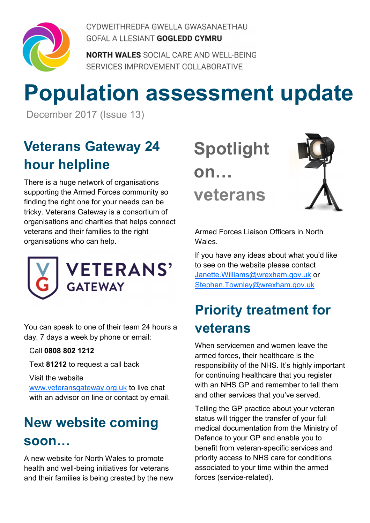

CYDWEITHREDFA GWELLA GWASANAETHAU GOFAL A LLESIANT GOGLEDD CYMRU

**NORTH WALES** SOCIAL CARE AND WELL-BEING SERVICES IMPROVEMENT COLLABORATIVE

# **Population assessment update**

December 2017 (Issue 13)

### **Veterans Gateway 24 hour helpline**

There is a huge network of organisations supporting the Armed Forces community so finding the right one for your needs can be tricky. Veterans Gateway is a consortium of organisations and charities that helps connect veterans and their families to the right organisations who can help.



You can speak to one of their team 24 hours a day, 7 days a week by phone or email:

Call **0808 802 1212**

Text **81212** to request a call back

#### Visit the website

www.veteransgateway.org.uk to live chat with an advisor on line or contact by email.

### **New website coming soon**

A new website for North Wales to promote health and well-being initiatives for veterans and their families is being created by the new **Spotlight on veterans**



Armed Forces Liaison Officers in North **Wales** 

If you have any ideas about what you'd like to see on the website please contact Janette.Williams@wrexham.gov.uk or Stephen.Townley@wrexham.gov.uk

### **Priority treatment for veterans**

When servicemen and women leave the armed forces, their healthcare is the responsibility of the NHS. It's highly important for continuing healthcare that you register with an NHS GP and remember to tell them and other services that you've served.

Telling the GP practice about your veteran status will trigger the transfer of your full medical documentation from the Ministry of Defence to your GP and enable you to benefit from veteran-specific services and priority access to NHS care for conditions associated to your time within the armed forces (service-related).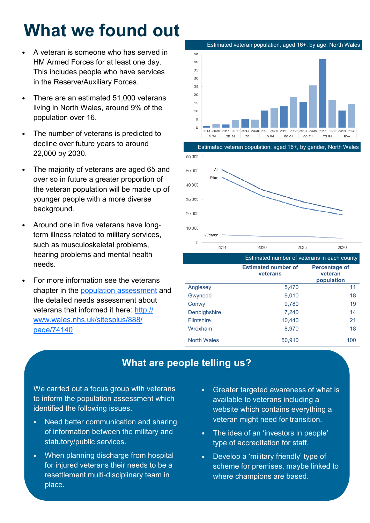## **What we found out**

- A veteran is someone who has served in HM Armed Forces for at least one day. This includes people who have services in the Reserve/Auxiliary Forces.
- There are an estimated 51,000 veterans living in North Wales, around 9% of the population over 16.
- The number of veterans is predicted to decline over future years to around 22,000 by 2030.
- The majority of veterans are aged 65 and over so in future a greater proportion of the veteran population will be made up of younger people with a more diverse background.
- Around one in five veterans have longterm illness related to military services, such as musculoskeletal problems, hearing problems and mental health needs.
- For more information see the veterans chapter in the population assessment and the detailed needs assessment about veterans that informed it here: http:// www.wales.nhs.uk/sitesplus/888/ page/74140





|                    | Estimated number of veterans in each county |                                               |
|--------------------|---------------------------------------------|-----------------------------------------------|
|                    | <b>Estimated number of</b><br>veterans      | <b>Percentage of</b><br>veteran<br>population |
| Anglesey           | 5,470                                       | 11                                            |
| Gwynedd            | 9,010                                       | 18                                            |
| Conwy              | 9,780                                       | 19                                            |
| Denbighshire       | 7,240                                       | 14                                            |
| <b>Flintshire</b>  | 10,440                                      | 21                                            |
| Wrexham            | 8,970                                       | 18                                            |
| <b>North Wales</b> | 50,910                                      | 100                                           |

#### **What are people telling us?**

We carried out a focus group with veterans to inform the population assessment which identified the following issues.

- Need better communication and sharing of information between the military and statutory/public services.
- When planning discharge from hospital for injured veterans their needs to be a resettlement multi-disciplinary team in place.
- Greater targeted awareness of what is available to veterans including a website which contains everything a veteran might need for transition.
- The idea of an 'investors in people' type of accreditation for staff.
- Develop a 'military friendly' type of scheme for premises, maybe linked to where champions are based.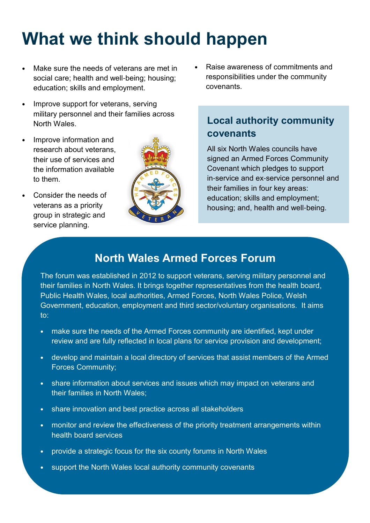## **What we think should happen**

- Make sure the needs of veterans are met in social care; health and well-being; housing; education; skills and employment.
- Improve support for veterans, serving military personnel and their families across North Wales.
- Improve information and research about veterans, their use of services and the information available to them.
- Consider the needs of veterans as a priority group in strategic and service planning.



• Raise awareness of commitments and responsibilities under the community covenants.

#### **Local authority community covenants**

All six North Wales councils have signed an Armed Forces Community Covenant which pledges to support in-service and ex-service personnel and their families in four key areas: education; skills and employment; housing; and, health and well-being.

#### **North Wales Armed Forces Forum**

The forum was established in 2012 to support veterans, serving military personnel and their families in North Wales. It brings together representatives from the health board, Public Health Wales, local authorities, Armed Forces, North Wales Police, Welsh Government, education, employment and third sector/voluntary organisations. It aims to:

- make sure the needs of the Armed Forces community are identified, kept under review and are fully reflected in local plans for service provision and development;
- develop and maintain a local directory of services that assist members of the Armed Forces Community;
- share information about services and issues which may impact on veterans and their families in North Wales;
- share innovation and best practice across all stakeholders
- monitor and review the effectiveness of the priority treatment arrangements within health board services
- provide a strategic focus for the six county forums in North Wales
- support the North Wales local authority community covenants